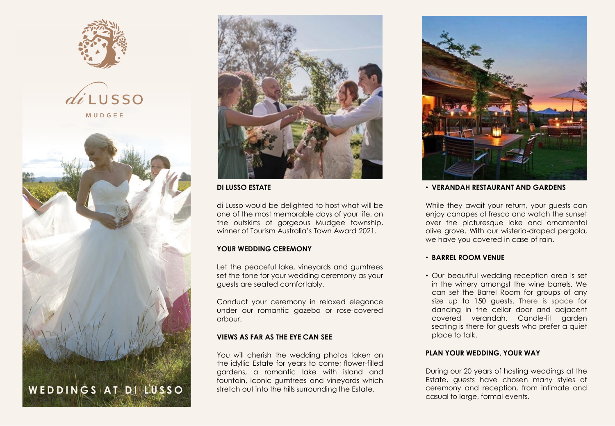







# **DI LUSSO ESTATE**

di Lusso would be delighted to host what will be one of the most memorable days of your life, on the outskirts of gorgeous Mudgee township, winner of Tourism Australia's Town Award 2021.

# **YOUR WEDDING CEREMONY**

Let the peaceful lake, vineyards and gumtrees set the tone for your wedding ceremony as your guests are seated comfortably.

Conduct your ceremony in relaxed elegance under our romantic gazebo or rose-covered arbour.

## **VIEWS AS FAR AS THE EYE CAN SEE**

You will cherish the wedding photos taken on the idyllic Estate for years to come; flower-filled gardens, a romantic lake with island and fountain, iconic gumtrees and vineyards which stretch out into the hills surrounding the Estate.



#### • **VERANDAH RESTAURANT AND GARDENS**

While they await your return, your guests can enjoy canapes al fresco and watch the sunset over the picturesque lake and ornamental olive grove. With our wisteria-draped pergola, we have you covered in case of rain.

## • **BARREL ROOM VENUE**

• Our beautiful wedding reception area is set in the winery amongst the wine barrels. We can set the Barrel Room for groups of any size up to 150 guests. There is space for dancing in the cellar door and adjacent covered verandah. Candle-lit garden seating is there for guests who prefer a quiet place to talk.

## **PLAN YOUR WEDDING, YOUR WAY**

During our 20 years of hosting weddings at the Estate, guests have chosen many styles of ceremony and reception, from intimate and casual to large, formal events.